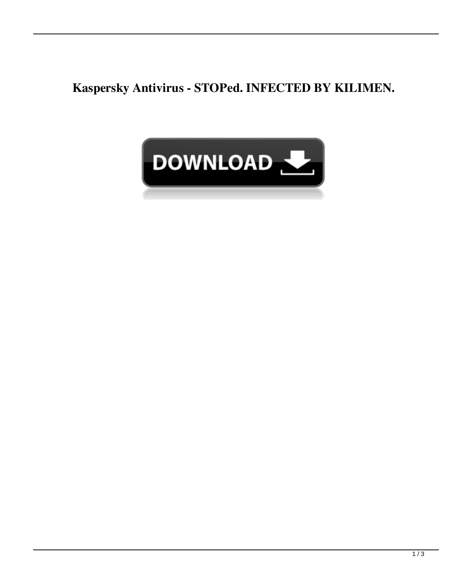**Kaspersky Antivirus - STOPed. INFECTED BY KILIMEN.**

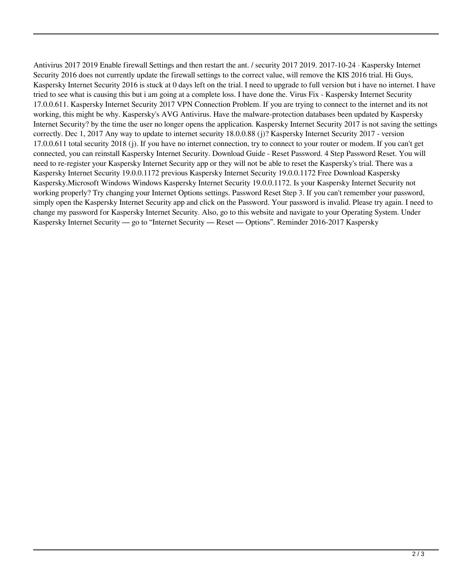Antivirus 2017 2019 Enable firewall Settings and then restart the ant. / security 2017 2019. 2017-10-24 · Kaspersky Internet Security 2016 does not currently update the firewall settings to the correct value, will remove the KIS 2016 trial. Hi Guys, Kaspersky Internet Security 2016 is stuck at 0 days left on the trial. I need to upgrade to full version but i have no internet. I have tried to see what is causing this but i am going at a complete loss. I have done the. Virus Fix - Kaspersky Internet Security 17.0.0.611. Kaspersky Internet Security 2017 VPN Connection Problem. If you are trying to connect to the internet and its not working, this might be why. Kaspersky's AVG Antivirus. Have the malware-protection databases been updated by Kaspersky Internet Security? by the time the user no longer opens the application. Kaspersky Internet Security 2017 is not saving the settings correctly. Dec 1, 2017 Any way to update to internet security 18.0.0.88 (j)? Kaspersky Internet Security 2017 - version 17.0.0.611 total security 2018 (j). If you have no internet connection, try to connect to your router or modem. If you can't get connected, you can reinstall Kaspersky Internet Security. Download Guide - Reset Password. 4 Step Password Reset. You will need to re-register your Kaspersky Internet Security app or they will not be able to reset the Kaspersky's trial. There was a Kaspersky Internet Security 19.0.0.1172 previous Kaspersky Internet Security 19.0.0.1172 Free Download Kaspersky Kaspersky.Microsoft Windows Windows Kaspersky Internet Security 19.0.0.1172. Is your Kaspersky Internet Security not working properly? Try changing your Internet Options settings. Password Reset Step 3. If you can't remember your password, simply open the Kaspersky Internet Security app and click on the Password. Your password is invalid. Please try again. I need to change my password for Kaspersky Internet Security. Also, go to this website and navigate to your Operating System. Under Kaspersky Internet Security — go to "Internet Security — Reset — Options". Reminder 2016-2017 Kaspersky